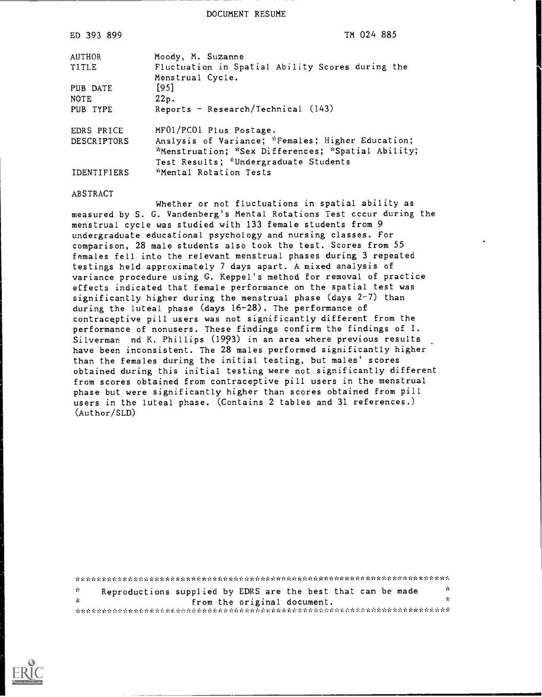DOCUMENT RESUME

| ED 393 899         | TM 024 885                                                                                                                                       |
|--------------------|--------------------------------------------------------------------------------------------------------------------------------------------------|
| <b>AUTHOR</b>      | Moody, M. Suzanne                                                                                                                                |
| TITLE              | Fluctuation in Spatial Ability Scores during the<br>Menstrual Cycle.                                                                             |
| PUB DATE           | $[95]$                                                                                                                                           |
| <b>NOTE</b>        | 22p.                                                                                                                                             |
| PUB TYPE           | Reports - Research/Technical $(143)$                                                                                                             |
| EDRS PRICE         | MF01/PC01 Plus Postage.                                                                                                                          |
| <b>DESCRIPTORS</b> | Analysis of Variance; *Females; Higher Education;<br>*Menstruation; *Sex Differences; *Spatial Ability;<br>Test Results; *Undergraduate Students |
| <b>IDENTIFIERS</b> | *Mental Rotation Tests                                                                                                                           |

#### **ABSTRACT**

Whether or not fluctuations in spatial ability as measured by S. G. Vandenberg's Mental Rotations Test cccur during the menstrual cycle was studied with 133 female students from 9 undergraduate educational psychology and nursing classes. For comparison, 28 male students also took the test. Scores from 55 females fell into the relevant menstrual phases during 3 repeated testings held approximately 7 days apart. A mixed analysis of variance procedure using G. Keppel's method for removal of practice effects indicated that female performance on the spatial test was significantly higher during the menstrual phase (days 2-7) than during the luteal phase (days 16-28). The performance of contraceptive pill users was not significantly different from the performance of nonusers. These findings confirm the findings of I. Silverman nd K. Phillips (1993) in an area where previous results have been inconsistent. The 28 males performed significantly higher than the females during the initial testing, but males' scores obtained during this initial testing were not significantly different from scores obtained from contraceptive pill users in the menstrual phase but were significantly higher than scores obtained from pill users in the luteal phase. (Contains 2 tables and 31 references.) (Author/SLD)

 $\mathbf{x}$  $\mathbf{x}$ Reproductions supplied by EDRS are the best that can be made  $\mathbf{v}_t$  $\mathbf{v}_t$ from the original document. khikikin hilikin hinki hiliki hiliki hiliki hiliki hiliki hiliki hiliki hiliki hiliki hiliki hiliki hiliki hiliki hi

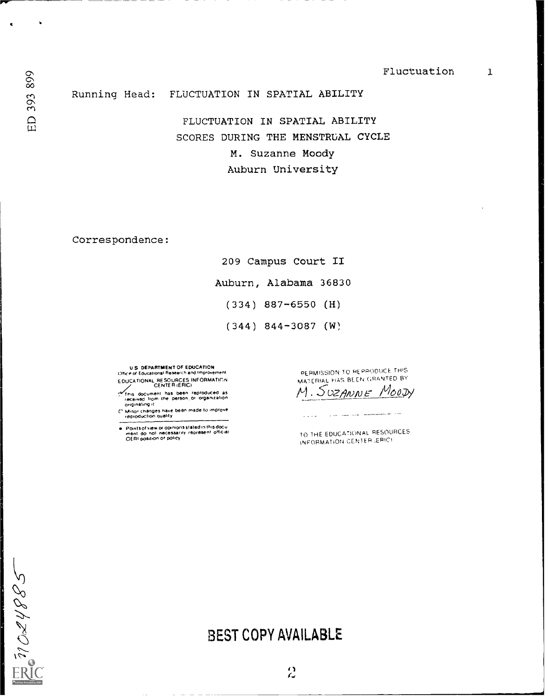$\mathbf{1}$ 

Running Head: FLUCTUATION IN SPATIAL ABILITY

> FLUCTUATION IN SPATIAL ABILITY SCORES DURING THE MENSTRUAL CYCLE M. Suzanne Moody Auburn University

Correspondence:

209 Campus Court II Auburn, Alabama 36830  $(334)$  887-6550 (H)  $(344)$  844-3087 (W)

U.S. DEPARTMENT OF EDUCATION<br>Office of Educational Research and Improvement EDUCATIONAL RESOURCES INFORMATION

CENTER (ERIC)<br>This document has been reproduced as<br>received from the person or organization<br>originating it

[1] Minor changes have been made to improve<br>reproduction quality

Points of view or opinions stated in this document do not inecessarily represent official<br>DERI position of policy

 $\hspace{1.6cm} \hspace{1.6cm} \cdots \hspace{1.2cm} \cdots \hspace{1.2cm} \cdots \hspace{1.2cm} \cdots$ 

PERMISSION TO REPRODUCE THIS MATERIAL HAS BEEN GRANTED BY

Мооду M. SUZANNE $\_$ 

متحمد المنبذ للبيدة البرازي

TO THE EDUCATIONAL RESOURCES INFORMATION CENTER (ERIC)

# **BEST COPY AVAILABLE**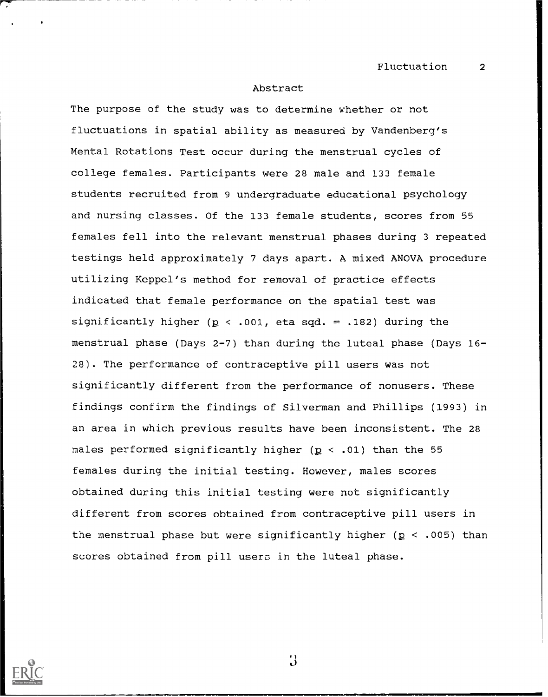#### Abstract

The purpose of the study was to determine whether or not fluctuations in spatial ability as measured by Vandenberg's Mental Rotations Test occur during the menstrual cycles of college females. Participants were 28 male and 133 female students recruited from 9 undergraduate educational psychology and nursing classes. Of the 133 female students, scores from 55 females fell into the relevant menstrual phases during 3 repeated testings held approximately 7 days apart. A mixed ANOVA procedure utilizing Keppel's method for removal of practice effects indicated that female performance on the spatial test was significantly higher ( $p < .001$ , eta sqd. = .182) during the menstrual phase (Days 2-7) than during the luteal phase (Days 16- 28). The performance of contraceptive pill users was not significantly different from the performance of nonusers. These findings confirm the findings of Silverman and Phillips (1993) in an area in which previous results have been inconsistent. The 28 males performed significantly higher ( $p \le .01$ ) than the 55 females during the initial testing. However, males scores obtained during this initial testing were not significantly different from scores obtained from contraceptive pill users in the menstrual phase but were significantly higher ( $p < .005$ ) than scores obtained from pill users in the luteal phase.

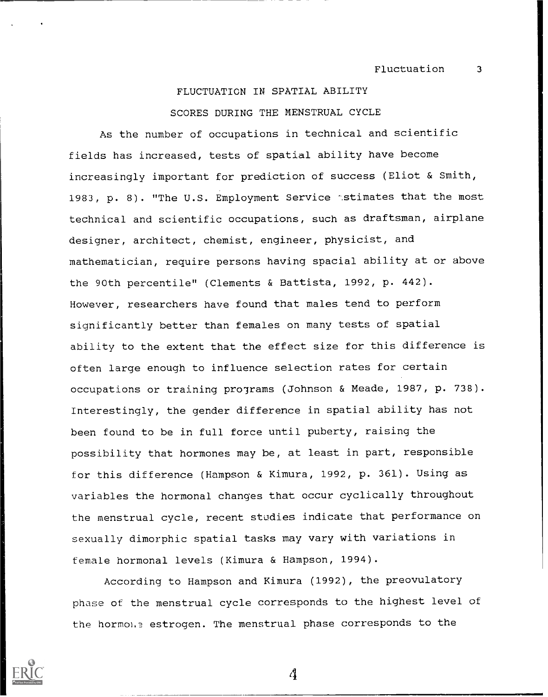# FLUCTUATION IN SPATIAL ABILITY SCORES DURING THE MENSTRUAL CYCLE

As the number of occupations in technical and scientific fields has increased, tests of spatial ability have become increasingly important for prediction of success (Eliot & Smith, 1983, p. 8). "The U.S. Employment Service astimates that the most technical and scientific occupations, such as draftsman, airplane designer, architect, chemist, engineer, physicist, and mathematician, require persons having spacial ability at or above the 90th percentile" (Clements & Battista, 1992, p. 442). However, researchers have found that males tend to perform significantly better than females on many tests of spatial ability to the extent that the effect size for this difference is often large enough to influence selection rates for certain occupations or training programs (Johnson & Meade, 1987, p. 738). Interestingly, the gender difference in spatial ability has not been found to be in full force until puberty, raising the possibility that hormones may be, at least in part, responsible for this difference (Hampson & Kimura, 1992, p. 361). Using as variables the hormonal changes that occur cyclically throughout the menstrual cycle, recent studies indicate that performance on sexually dimorphic spatial tasks may vary with variations in female hormonal levels (Kimura & Hampson, 1994).

According to Hampson and Kimura (1992), the preovulatory phase of the menstrual cycle corresponds to the highest level of the hormol.? estrogen. The menstrual phase corresponds to the

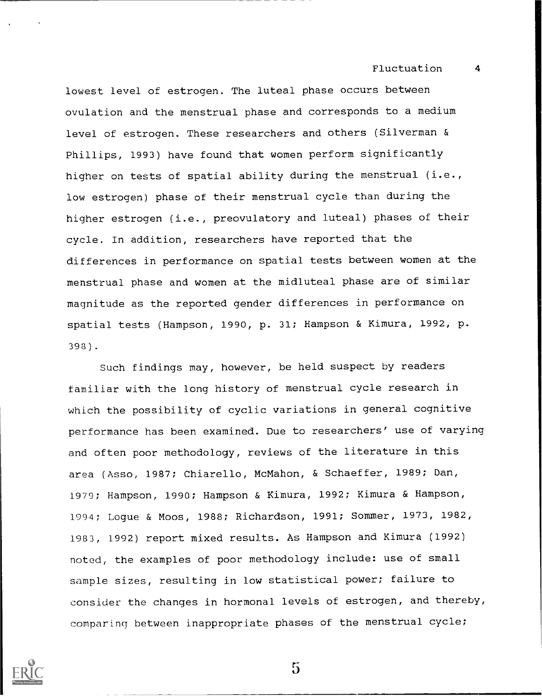lowest level of estrogen. The luteal phase occurs between ovulation and the menstrual phase and corresponds to a medium level of estrogen. These researchers and others (Silverman & Phillips, 1993) have found that women perform significantly higher on tests of spatial ability during the menstrual (i.e., low estrogen) phase of their menstrual cycle than during the higher estrogen (i.e., preovulatory and luteal) phases of their cycle. In addition, researchers have reported that the differences in performance on spatial tests between women at the menstrual phase and women at the midluteal phase are of similar magnitude as the reported gender differences in performance on spatial tests (Hampson, 1990, p. 31; Hampson & Kimura, 1992, p. 398).

Such findings may, however, be held suspect by readers familiar with the long history of menstrual cycle research in which the possibility of cyclic variations in general cognitive performance has been examined. Due to researchers' use of varying and often poor methodology, reviews of the literature in this area (Asso, 1987; Chiarello, McMahon, & Schaeffer, 1989; Dan, 1979; Hampson, 1990; Hampson & Kimura, 1992; Kimura & Hampson, 1994; Logue & Moos, 1988; Richardson, 1991; Sommer, 1973, 1982, 1983, 1992) report mixed results. As Hampson and Kimura (1992) noted, the examples of poor methodology include: use of small sample sizes, resulting in low statistical power; failure to consider the changes in hormonal levels of estrogen, and thereby, comparing between inappropriate phases of the menstrual cycle;

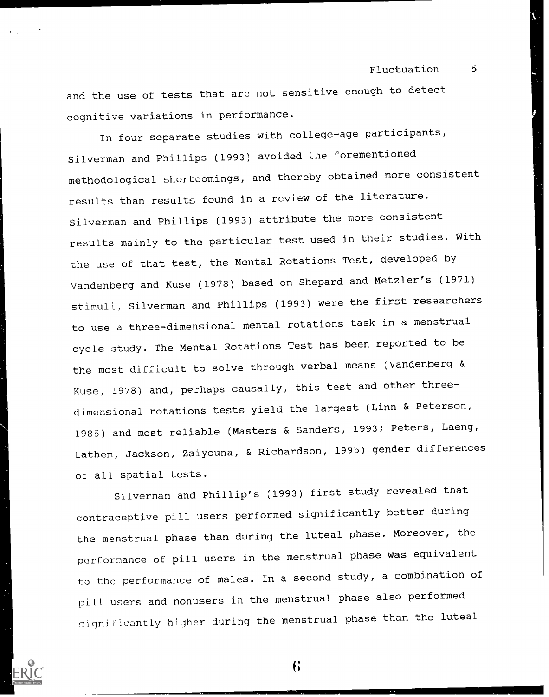and the use of tests that are not sensitive enough to detect cognitive variations in performance.

In four separate studies with college-age participants, Silverman and Phillips (1993) avoided the forementioned methodological shortcomings, and thereby obtained more consistent results than results found in a review of the literature. Silverman and Phillips (1993) attribute the more consistent results mainly to the particular test used in their studies. With the use of that test, the Mental Rotations Test, developed by Vandenberg and Kuse (1978) based on Shepard and Metzler's (1971) stimuli, Silverman and Phillips (1993) were the first researchers to use a three-dimensional mental rotations task in a menstrual cycle study. The Mental Rotations Test has been reported to be the most difficult to solve through verbal means (Vandenberg & Kuse, 1978) and, perhaps causally, this test and other threedimensional rotations tests yield the largest (Linn & Peterson, 1985) and most reliable (Masters & Sanders, 1993; Peters, Laeng, Lathen, Jackson, Zaiyouna, & Richardson, 1995) gender differences ot all spatial tests.

Silverman and Phillip's (1993) first study revealed tnat contraceptive pill users performed significantly better during the menstrual phase than during the luteal phase. Moreover, the performance of pill users in the menstrual phase was equivalent to the performance of males. In a second study, a combination of pill users and nonusers in the menstrual phase also performed significantly higher during the menstrual phase than the luteal

f;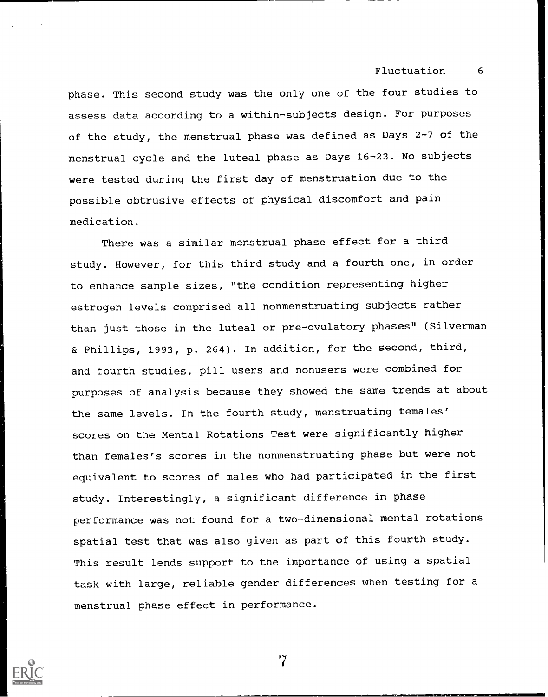phase. This second study was the only one of the four studies to assess data according to a within-subjects design. For purposes of the study, the menstrual phase was defined as Days 2-7 of the menstrual cycle and the luteal phase as Days 16-23. No subjects were tested during the first day of menstruation due to the possible obtrusive effects of physical discomfort and pain medication.

There was a similar menstrual phase effect for a third study. However, for this third study and a fourth one, in order to enhance sample sizes, "the condition representing higher estrogen levels comprised all nonmenstruating subjects rather than just those in the luteal or pre-ovulatory phases" (Silverman & Phillips, 1993, p. 264). In addition, for the second, third, and fourth studies, pill users and nonusers were combined for purposes of analysis because they showed the same trends at about the same levels. In the fourth study, menstruating females' scores on the Mental Rotations Test were significantly higher than females's scores in the nonmenstruating phase but were not equivalent to scores of males who had participated in the first study. Interestingly, a significant difference in phase performance was not found for a two-dimensional mental rotations spatial test that was also given as part of this fourth study. This result lends support to the importance of using a spatial task with large, reliable gender differences when testing for a menstrual phase effect in performance.

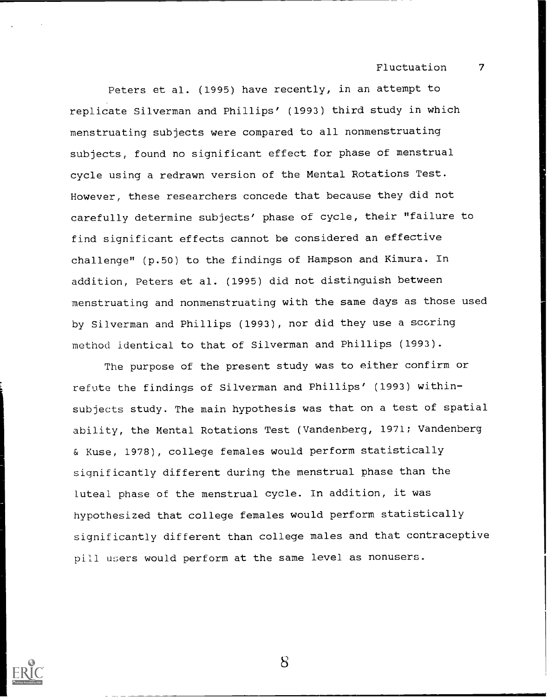Peters et al. (1995) have recently, in an attempt to replicate Silverman and Phillips' (1993) third study in which menstruating subjects were compared to all nonmenstruating subjects, found no significant effect for phase of menstrual cycle using a redrawn version of the Mental Rotations Test. However, these researchers concede that because they did not carefully determine subjects' phase of cycle, their "failure to find significant effects cannot be considered an effective challenge" (p.50) to the findings of Hampson and Kimura. In addition, Peters et al. (1995) did not distinguish between menstruating and nonmenstruating with the same days as those used by Silverman and Phillips (1993), nor did they use a scoring method identical to that of Silverman and Phillips (1993).

The purpose of the present study was to either confirm or refute the findings of Silverman and Phillips' (1993) withinsubjects study. The main hypothesis was that on a test of spatial ability, the Mental Rotations Test (Vandenberg, 1971; Vandenberg & Kuse, 1978), college females would perform statistically significantly different during the menstrual phase than the luteal phase of the menstrual cycle. In addition, it was hypothesized that college females would perform statistically significantly different than college males and that contraceptive pill users would perform at the same level as nonusers.

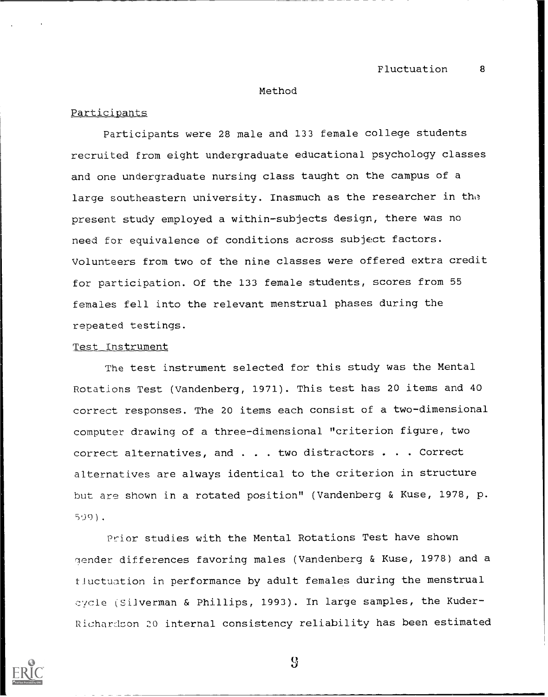#### Method

# Participants

Participants were 28 male and 133 female college students recruited from eight undergraduate educational psychology classes and one undergraduate nursing class taught on the campus of a large southeastern university. Inasmuch as the researcher in the present study employed a within-subjects design, there was no need for equivalence of conditions across subject factors. Volunteers from two of the nine classes were offered extra credit for participation. Of the 133 female students, scores from 55 females fell into the relevant menstrual phases during the repeated testings.

### Test Instrument

The test instrument selected for this study was the Mental Rotations Test (Vandenberg, 1971). This test has 20 items and 40 correct responses. The 20 items each consist of a two-dimensional computer drawing of a three-dimensional "criterion figure, two correct alternatives, and . . . two distractors . . . Correct alternatives are always identical to the criterion in structure but are shown in a rotated position" (Vandenberg & Kuse, 1978, p. 509).

Prior studies with the Mental Rotations Test have shown gender differences favoring males (Vandenberg & Kuse, 1978) and a fluctuation in performance by adult females during the menstrual cycle (Silverman & Phillips, 1993). In large samples, the Kuder-Richardson 20 internal consistency reliability has been estimated



(j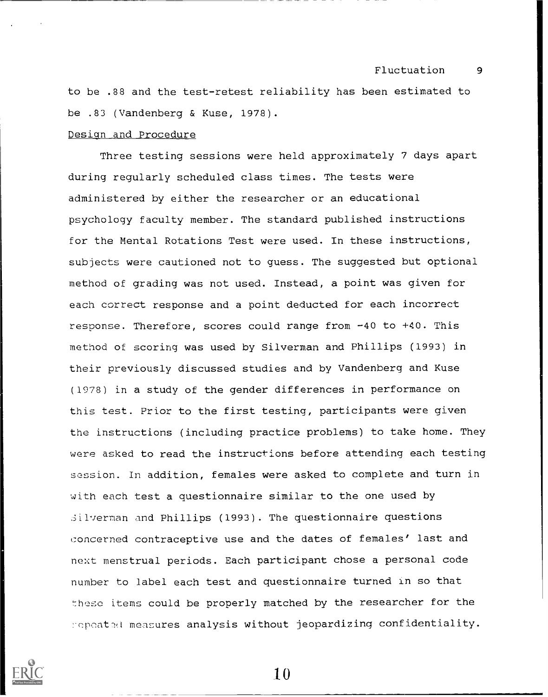to be .88 and the test-retest reliability has been estimated to be .83 (Vandenberg & Kuse, 1978).

# Design and Procedure

Three testing sessions were held approximately 7 days apart during regularly scheduled class times. The tests were administered by either the researcher or an educational psychology faculty member. The standard published instructions for the Mental Rotations Test were used. In these instructions, subjects were cautioned not to guess. The suggested but optional method of grading was not used. Instead, a point was given for each correct response and a point deducted for each incorrect response. Therefore, scores could range from -40 to +40. This method of scoring was used by Silverman and Phillips (1993) in their previously discussed studies and by Vandenberg and Kuse (1978) in a study of the gender differences in performance on this test. Prior to the first testing, participants were given the instructions (including practice problems) to take home. They were asked to read the instructions before attending each testing session. In addition, females were asked to complete and turn in with each test a questionnaire similar to the one used by .Silverman and Phillips (1993). The questionnaire questions concerned contraceptive use and the dates of females' last and next menstrual periods. Each participant chose a personal code number to label each test and questionnaire turned In so that these items could be properly matched by the researcher for the repeated measures analysis without jeopardizing confidentiality.

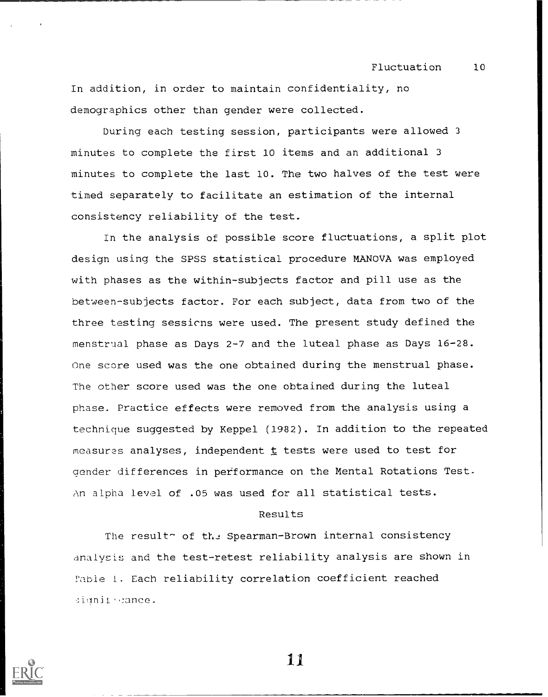In addition, in order to maintain confidentiality, no demographics other than gender were collected.

During each testing session, participants were allowed 3 minutes to complete the first 10 items and an additional 3 minutes to complete the last 10. The two halves of the test were timed separately to facilitate an estimation of the internal consistency reliability of the test.

In the analysis of possible score fluctuations, a split plot design using the SPSS statistical procedure MANOVA was employed with phases as the within-subjects factor and pill use as the between-subjects factor. For each subject, data from two of the three testing sessicns were used. The present study defined the menstrual phase as Days 2-7 and the luteal phase as Days 16-28. One score used was the one obtained during the menstrual phase. The other score used was the one obtained during the luteal phase. Practice effects were removed from the analysis using a technique suggested by Keppel (1982). In addition to the repeated measures analyses, independent  $t$  tests were used to test for Qender differences in performance on the Mental Rotations Test. An alpha level of .05 was used for all statistical tests.

### Results

The result<sup>-</sup> of the Spearman-Brown internal consistency analysis and the test-retest reliability analysis are shown in Fable 1. Each reliability correlation coefficient reached signit cance.

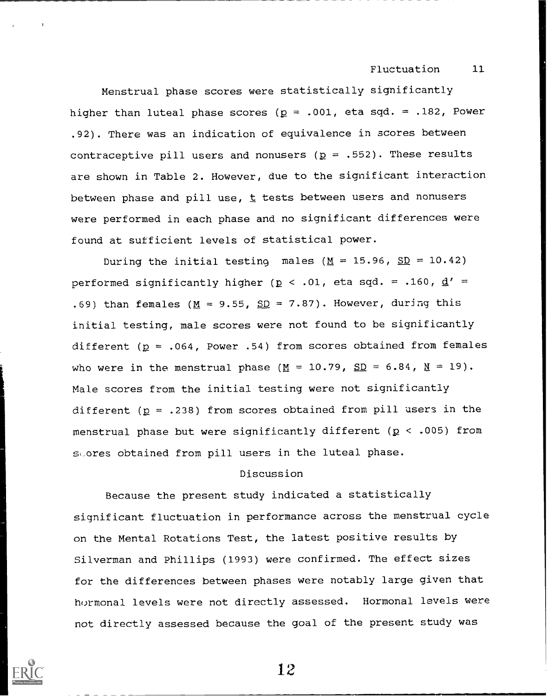Menstrual phase scores were statistically significantly higher than luteal phase scores ( $p = .001$ , eta sqd. = .182, Power .92). There was an indication of equivalence in scores between contraceptive pill users and nonusers ( $p = .552$ ). These results are shown in Table 2. However, due to the significant interaction between phase and pill use,  $t$  tests between users and nonusers were performed in each phase and no significant differences were found at sufficient levels of statistical power.

During the initial testing males ( $M = 15.96$ ,  $SD = 10.42$ ) performed significantly higher ( $p < .01$ , eta sqd. = .160,  $d' =$ .69) than females ( $M = 9.55$ ,  $SD = 7.87$ ). However, during this initial testing, male scores were not found to be significantly different ( $p = .064$ , Power .54) from scores obtained from females who were in the menstrual phase ( $M = 10.79$ ,  $SD = 6.84$ ,  $M = 19$ ). Male scores from the initial testing were not significantly different ( $p = .238$ ) from scores obtained from pill users in the menstrual phase but were significantly different ( $p < .005$ ) from sores obtained from pill users in the luteal phase.

# Discussion

Because the present study indicated a statistically significant fluctuation in performance across the menstrual cycle on the Mental Rotations Test, the latest positive results by Silverman and Phillips (1993) were confirmed. The effect sizes for the differences between phases were notably large given that hormonal levels were not directly assessed. Hormonal levels were not directly assessed because the goal of the present study was

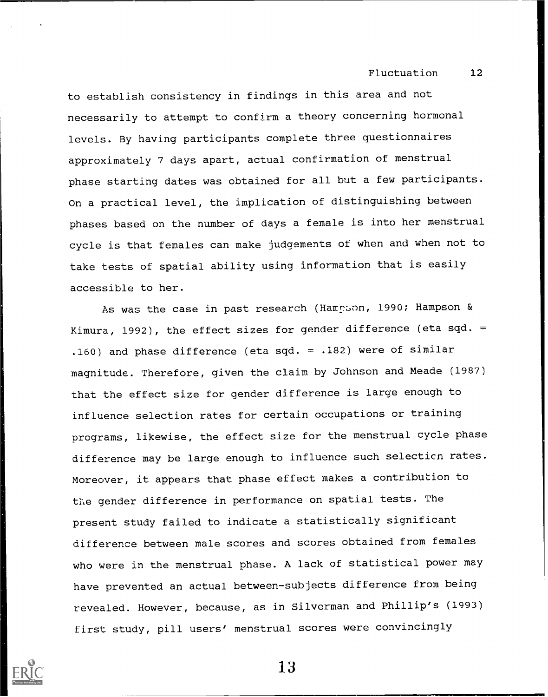to establish consistency in findings in this area and not necessarily to attempt to confirm a theory concerning hormonal levels. By having participants complete three questionnaires approximately 7 days apart, actual confirmation of menstrual phase starting dates was obtained for all but a few participants. On a practical level, the implication of distinguishing between phases based on the number of days a female is into her menstrual cycle is that females can make judgements of when and when not to take tests of spatial ability using information that is easily accessible to her.

As was the case in past research (Hampson, 1990; Hampson & Kimura, 1992), the effect sizes for gender difference (eta sqd. = .160) and phase difference (eta sqd. = .182) were of similar magnitude. Therefore, given the claim by Johnson and Meade (1987) that the effect size for gender difference is large enough to influence selection rates for certain occupations or training programs, likewise, the effect size for the menstrual cycle phase difference may be large enough to influence such selecticn rates. Moreover, it appears that phase effect makes a contribution to the gender difference in performance on spatial tests. The present study failed to indicate a statistically significant difference between male scores and scores obtained from females who were in the menstrual phase. A lack of statistical power may have prevented an actual between-subjects difference from being revealed. However, because, as in Silverman and Phillip's (1993) first study, pill users' menstrual scores were convincingly

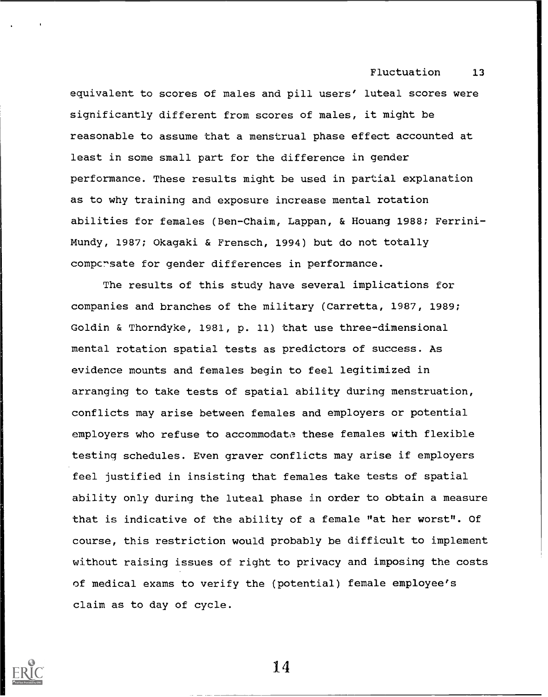1

equivalent to scores of males and pill users' luteal scores were significantly different from scores of males, it might be reasonable to assume that a menstrual phase effect accounted at least in some small part for the difference in gender performance. These results might be used in partial explanation as to why training and exposure increase mental rotation abilities for females (Ben-Chaim, Lappan, & Houang 1988; Ferrini-Mundy, 1987; Okagaki & Frensch, 1994) but do not totally compersate for gender differences in performance.

The results of this study have several implications for companies and branches of the military (Carretta, 1987, 1989; Goldin & Thorndyke, 1981, p. 11) that use three-dimensional mental rotation spatial tests as predictors of success. As evidence mounts and females begin to feel legitimized in arranging to take tests of spatial ability during menstruation, conflicts may arise between females and employers or potential employers who refuse to accommodata these females with flexible testing schedules. Even graver conflicts may arise if employers feel justified in insisting that females take tests of spatial ability only during the luteal phase in order to obtain a measure that is indicative of the ability of a female "at her worst". Of course, this restriction would probably be difficult to implement without raising issues of right to privacy and imposing the costs of medical exams to verify the (potential) female employee's claim as to day of cycle.

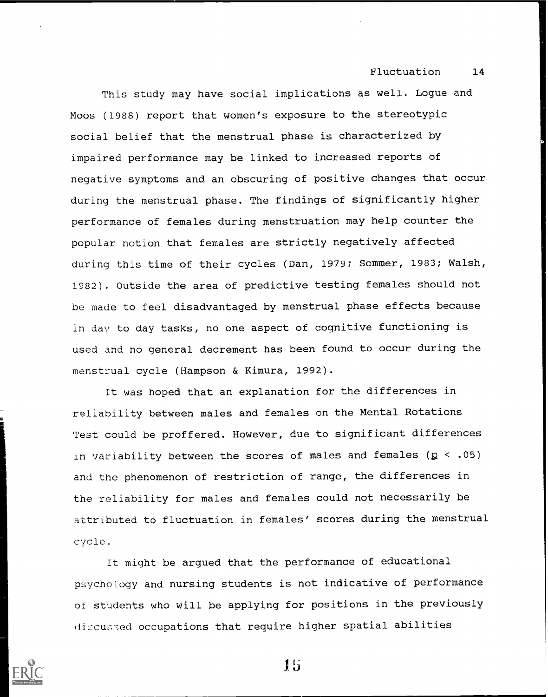This study may have social implications as well. Logue and Moos (1988) report that women's exposure to the stereotypic social belief that the menstrual phase is characterized by impaired performance may be linked to increased reports of negative symptoms and an obscuring of positive changes that occur during the menstrual phase. The findings of significantly higher performance of females during menstruation may help counter the popular notion that females are strictly negatively affected during this time of their cycles (Dan, 1979; Sommer, 1983; Walsh, 1982). Outside the area of predictive testing females should not be made to feel disadvantaged by menstrual phase effects because in day to day tasks, no one aspect of cognitive functioning is used and no general decrement has been found to occur during the menstrual cycle (Hampson & Kimura, 1992).

It was hoped that an explanation for the differences in reliability between males and females on the Mental Rotations Test could be proffered. However, due to significant differences in variability between the scores of males and females ( $p < .05$ ) and the phenomenon of restriction of range, the differences in the reliability for males and females could not necessarily be attributed to fluctuation in females' scores during the menstrual cycle.

It might be argued that the performance of educational psychology and nursing students is not indicative of performance ot students who will be applying for positions in the previously di:Cused occupations that require higher spatial abilities



lb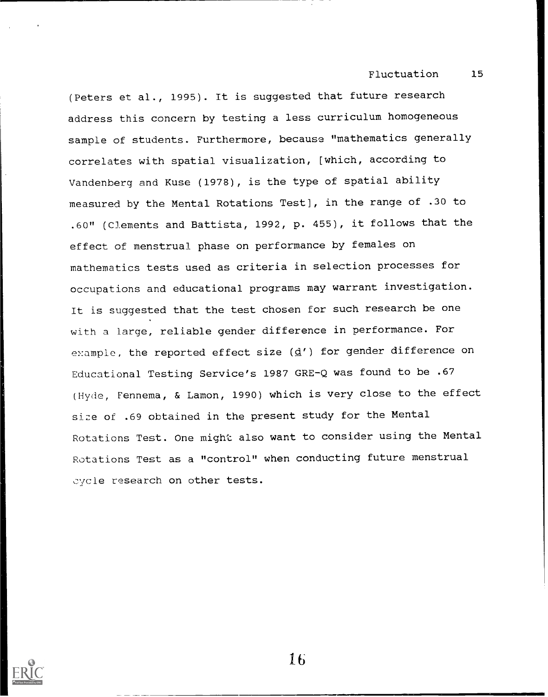(Peters et al., 1995). It is suggested that future research address this concern by testing a less curriculum homogeneous sample of students. Furthermore, because "mathematics generally correlates with spatial visualization, [which, according to Vandenberg and Kuse (1978), is the type of spatial ability measured by the Mental Rotations Test], in the range of .30 to .60" (Clements and Battista, 1992, p. 455), it follows that the effect of menstrual phase on performance by females on mathematics tests used as criteria in selection processes for occupations and educational programs may warrant investigation. It is suggested that the test chosen for such research be one with a large, reliable gender difference in performance. For example, the reported effect size  $(d')$  for gender difference on Educational Testing Service's 1987 GRE-Q was found to be .67 (Hyde, Fennema, & Lamon, 1990) which is very close to the effect size of .69 obtained in the present study for the Mental Rotations Test. One might also want to consider using the Mental Rotations Test as a "control" when conducting future menstrual cycle research on other tests.

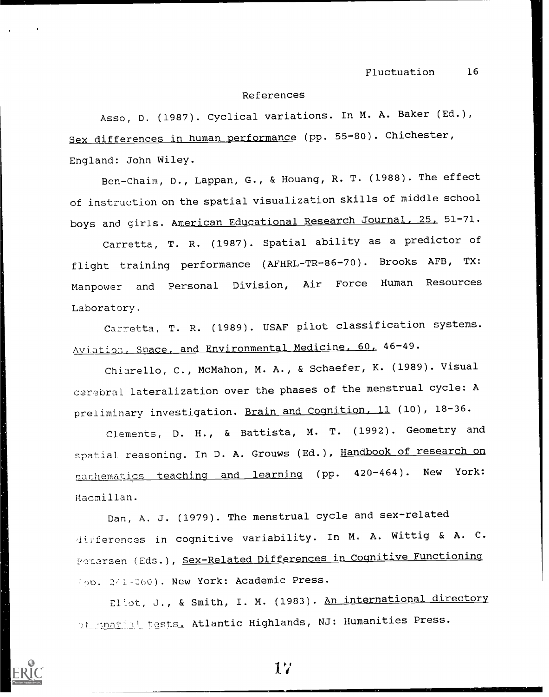#### References

Asso, D. (1987). Cyclical variations. In M. A. Baker (Ed.), Sex differences in human performance (pp. 55-80). Chichester, England: John Wiley.

Ben-Chaim, D., Lappan, G., & Houang, R. T. (1988). The effect of instruction on the spatial visualization skills of middle school boys and girls. American Educational Research Journal, 25, 51-71.

Carretta, T. R. (1987). Spatial ability as a predictor of flight training performance (AFHRL-TR-86-70). Brooks AFB, TX: Manpower and Personal Division, Air Force Human Resources Laboratory.

Carretta, T. R. (1989). USAF pilot classification systems. Aviation, Space, and Environmental Medicine, 60, 46-49.

Chiarello, C., McMahon, M. A., & Schaefer, K. (1989). Visual cerebral lateralization over the phases of the menstrual cycle: A preliminary investigation. Brain and Cognition, 11 (10), 18-36.

Clements, D. H., & Battista, M. T. (1992). Geometry and spatial reasoning. In D. A. Grouws (Ed.), Handbook of research on machematics teaching and learning (pp. 420-464). New York: Macmillan.

Dan, A. J. (1979). The menstrual cycle and sex-related differences in cognitive variability. In M. A. Wittig & A. C. Petersen (Eds.), Sex-Related Differences in Cognitive Functioning (pp. 2/1-260). New York: Academic Press.

Eliot, J., & Smith, I. M. (1983). An international directory pt spatial tests. Atlantic Highlands, NJ: Humanities Press.

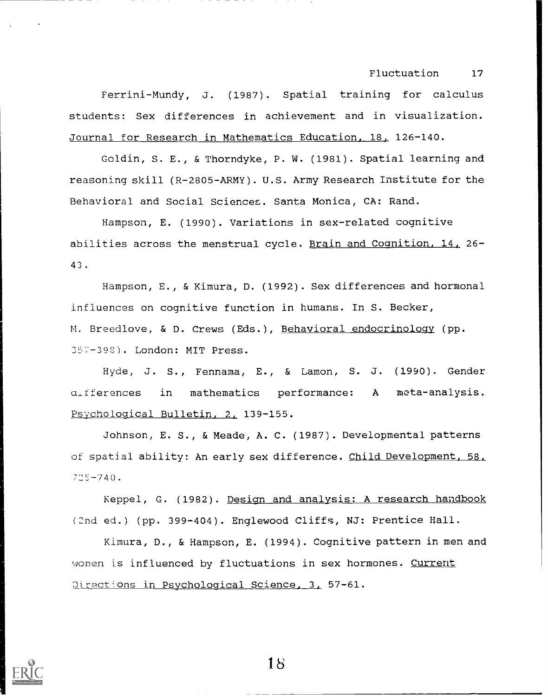Ferrini-Mundy, J. (1987). Spatial training for calculus students: Sex differences in achievement and in visualization. Journal for Research in Mathematics Education, 18, 126-140.

Goldin, S. E., & Thorndyke, P. W. (1981). Spatial learning and reasoning skill (R-2805-ARMY). U.S. Army Research Institute for the Behavioral and Social Sciences. Santa Monica, CA: Rand.

Hampson, E. (1990). Variations in sex-related cognitive abilities across the menstrual cycle. Brain and Cognition, 14, 26- 43.

Hampson, E., & Kimura, D. (1992). Sex differences and hormonal influences on cognitive function in humans. In S. Becker, M. Breedlove, & D. Crews (Eds.), Behavioral endocrinology (pp. 357-39S). London: MIT Press.

Hyde, J. S., Fennama, E., & Lamon, S. J. (1990). Gender a.,fferences in mathematics performance: A meta-analysis. Psychological Bulletin, 2, 139-155.

Johnson, E. S., & Meade, A. C. (1987). Developmental patterns of spatial ability: An early sex difference. Child Development, 58,  $725 - 740.$ 

Keppel, G. (1982). Design and analysis: A research handbook (2nd ed.) (pp. 399-404). Englewood Cliffs, NJ: Prentice Hall.

Kimura, D., & Hampson, E. (1994). Cognitive pattern in men and women is influenced by fluctuations in sex hormones. Current Directions in Psychological Science, 3, 57-61.

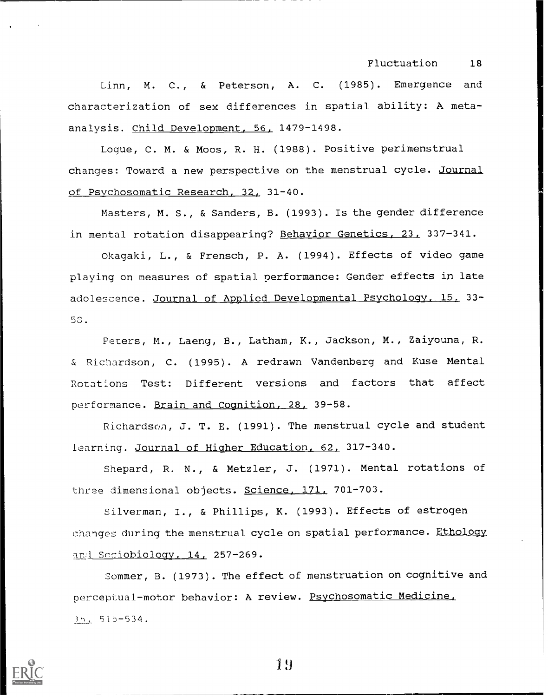Linn, M. C., & Peterson, A. C. (1985). Emergence and characterization of sex differences in spatial ability: A metaanalysis. Child Development, 56, 1479-1498.

Logue, C. M. & Moos, R. H. (1988). Positive perimenstrual changes: Toward a new perspective on the menstrual cycle. Journal of Psychosomatic Research, 32, 31-40.

Masters, M. S., & Sanders, B. (1993). Is the gender difference in mental rotation disappearing? Behavior Genetics, 23, 337-341.

Okagaki, L., & Frensch, P. A. (1994). Effects of video game playing on measures of spatial performance: Gender effects in late adolescence. <u>Journal of Applied Developmental Psychology, 15,</u> 33– 50.

Peters, M., Laeng, B., Latham, K., Jackson, M., Zaiyouna, R. & Richardson, C. (1995). A redrawn Vandenberg and Kuse Mental Rotations Test: Different versions and factors that affect performance. Brain and Cognition, 28, 39-58.

Richardsch, J. T. E. (1991). The menstrual cycle and student learning. Journal of Higher Education, 62, 317-340.

Shepard, R. N., & Metzler, J. (1971). Mental rotations of three dimensional objects. Science, 171, 701-703.

Silverman, I., & Phillips, K. (1993). Effects of estrogen changes during the menstrual cycle on spatial performance. Ethology and Seciobiology, 14, 257-269.

Sommer, B. (1973). The effect of menstruation on cognitive and perceptual-motor behavior: A review. Psychosomatic Medicine. 35, 515-534.

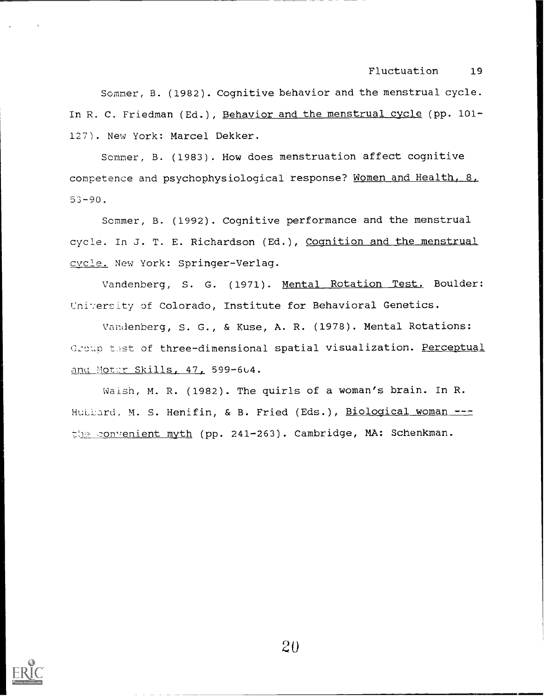Sommer, B. (1982). Cognitive behavior and the menstrual cycle. In R. C. Friedman (Ed.), Behavior and the menstrual cycle (pp. 101-127). New York: Marcel Dekker.

Scmmer, B. (1983). How does menstruation affect cognitive competence and psychophysiological response? Women and Health, 8, 53-90.

Scmmer, B. (1992). Cognitive performance and the menstrual cycle. In J. T. E. Richardson (Ed.), Cognition and the menstrual cycle. New York: Springer-Verlag.

Vandenberg, S. G. (1971). Mental Rotation Test. Boulder: University of Colorado, Institute for Behavioral Genetics.

Vandenberg, S. G., & Kuse, A. R. (1978). Mental Rotations: Group test of three-dimensional spatial visualization. Perceptual and Moter Skills, 47, 599-604.

Waish, M. R. (1982). The quirls of a woman's brain. In R. Huitard, M. S. Henifin, & B. Fried (Eds.), Biological woman --the convenient myth (pp. 241-263). Cambridge, MA: Schenkman.

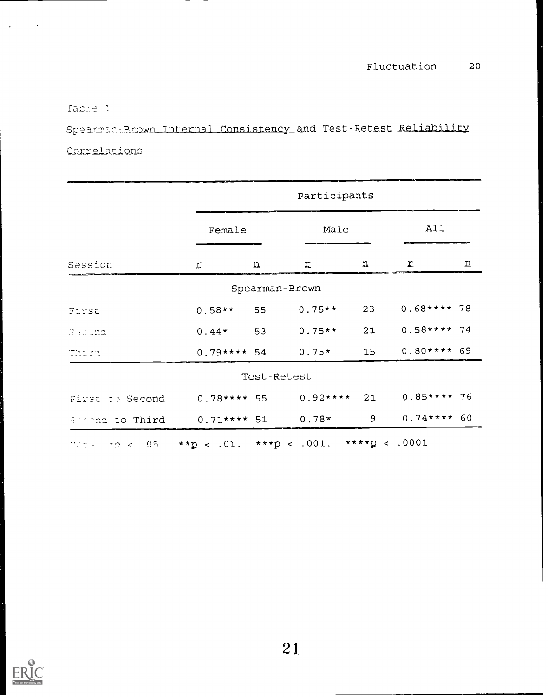rable 1

Spearman Brown Internal Consistency and Test-Retest Reliability Correlations

|                                                                           | Participants   |                         |                |             |              |     |  |
|---------------------------------------------------------------------------|----------------|-------------------------|----------------|-------------|--------------|-----|--|
|                                                                           | Female         |                         | Male           |             |              | All |  |
| Session                                                                   | $\mathfrak{L}$ | $\overline{\mathbf{u}}$ | r              | $\mathbf n$ | T.           | 꾜   |  |
|                                                                           |                |                         | Spearman-Brown |             |              |     |  |
| Furst                                                                     | $0.58**$       | 55                      | $0.75**$       | 23          | $0.68***78$  |     |  |
| Geound                                                                    | $0.44*$        | 53                      | $0.75**$       | 21          | $0.58***74$  |     |  |
| Thirt                                                                     | $0.79***54$    |                         | $0.75*$        | 15          | $0.80***$ 69 |     |  |
| Test-Retest                                                               |                |                         |                |             |              |     |  |
| First to Second                                                           | $0.78***55$    |                         | $0.92***$      | 21          | $0.85***76$  |     |  |
| Secting to Third                                                          | $0.71***51$    |                         | $0.78*$        | 9           | $0.74***$ 60 |     |  |
| Where, $rp \le .05$ , $*tp \le .01$ , $**tp \le .001$ , $***tp \le .0001$ |                |                         |                |             |              |     |  |